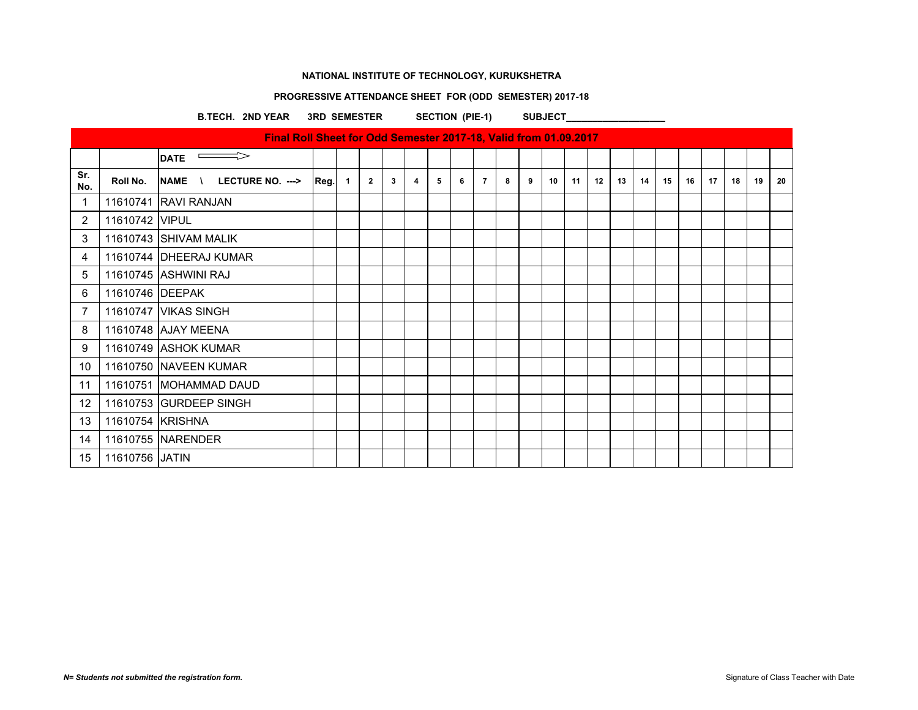# **PROGRESSIVE ATTENDANCE SHEET FOR (ODD SEMESTER) 2017-18**

B.TECH. 2ND YEAR 3RD SEMESTER SECTION (PIE-1) SUBJECT

|            |                  | Final Roll Sheet for Odd Semester 2017-18, Valid from 01.09.2017 |      |                |                |   |   |   |   |                |   |   |    |    |    |    |    |    |    |    |    |    |    |
|------------|------------------|------------------------------------------------------------------|------|----------------|----------------|---|---|---|---|----------------|---|---|----|----|----|----|----|----|----|----|----|----|----|
|            |                  | $\implies$<br><b>DATE</b>                                        |      |                |                |   |   |   |   |                |   |   |    |    |    |    |    |    |    |    |    |    |    |
| Sr.<br>No. | Roll No.         | LECTURE NO. ---><br>NAME \                                       | Reg. | $\overline{1}$ | $\overline{2}$ | 3 | 4 | 5 | 6 | $\overline{7}$ | 8 | 9 | 10 | 11 | 12 | 13 | 14 | 15 | 16 | 17 | 18 | 19 | 20 |
| 1          |                  | 11610741 RAVI RANJAN                                             |      |                |                |   |   |   |   |                |   |   |    |    |    |    |    |    |    |    |    |    |    |
| 2          | 11610742 VIPUL   |                                                                  |      |                |                |   |   |   |   |                |   |   |    |    |    |    |    |    |    |    |    |    |    |
| 3          |                  | 11610743 SHIVAM MALIK                                            |      |                |                |   |   |   |   |                |   |   |    |    |    |    |    |    |    |    |    |    |    |
| 4          |                  | 11610744 DHEERAJ KUMAR                                           |      |                |                |   |   |   |   |                |   |   |    |    |    |    |    |    |    |    |    |    |    |
| 5          |                  | 11610745 ASHWINI RAJ                                             |      |                |                |   |   |   |   |                |   |   |    |    |    |    |    |    |    |    |    |    |    |
| 6          | 11610746 DEEPAK  |                                                                  |      |                |                |   |   |   |   |                |   |   |    |    |    |    |    |    |    |    |    |    |    |
| 7          |                  | 11610747 VIKAS SINGH                                             |      |                |                |   |   |   |   |                |   |   |    |    |    |    |    |    |    |    |    |    |    |
| 8          |                  | 11610748 AJAY MEENA                                              |      |                |                |   |   |   |   |                |   |   |    |    |    |    |    |    |    |    |    |    |    |
| 9          |                  | 11610749 ASHOK KUMAR                                             |      |                |                |   |   |   |   |                |   |   |    |    |    |    |    |    |    |    |    |    |    |
| 10         |                  | 11610750 NAVEEN KUMAR                                            |      |                |                |   |   |   |   |                |   |   |    |    |    |    |    |    |    |    |    |    |    |
| 11         |                  | 11610751 MOHAMMAD DAUD                                           |      |                |                |   |   |   |   |                |   |   |    |    |    |    |    |    |    |    |    |    |    |
| 12         |                  | 11610753 GURDEEP SINGH                                           |      |                |                |   |   |   |   |                |   |   |    |    |    |    |    |    |    |    |    |    |    |
| 13         | 11610754 KRISHNA |                                                                  |      |                |                |   |   |   |   |                |   |   |    |    |    |    |    |    |    |    |    |    |    |
| 14         |                  | 11610755 NARENDER                                                |      |                |                |   |   |   |   |                |   |   |    |    |    |    |    |    |    |    |    |    |    |
| 15         | 11610756 JATIN   |                                                                  |      |                |                |   |   |   |   |                |   |   |    |    |    |    |    |    |    |    |    |    |    |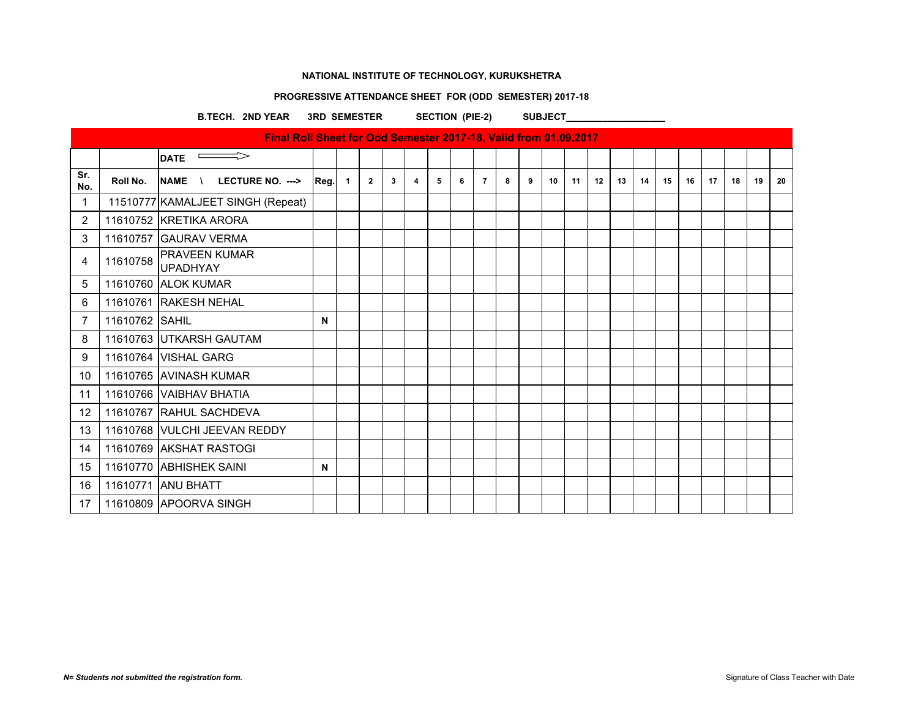# **PROGRESSIVE ATTENDANCE SHEET FOR (ODD SEMESTER) 2017-18**

B.TECH. 2ND YEAR 3RD SEMESTER SECTION (PIE-2) SUBJECT

|            |                | Final Roll Sheet for Odd Semester 2017-18, Valid from 01.09.2017 |      |              |              |   |   |   |   |                |   |   |    |    |    |    |    |    |    |    |    |    |    |
|------------|----------------|------------------------------------------------------------------|------|--------------|--------------|---|---|---|---|----------------|---|---|----|----|----|----|----|----|----|----|----|----|----|
|            |                | $\overline{\phantom{0}}$ DATE                                    |      |              |              |   |   |   |   |                |   |   |    |    |    |    |    |    |    |    |    |    |    |
| Sr.<br>No. | Roll No.       | <b>NAME</b><br>LECTURE NO. ---><br>$\sqrt{ }$                    | Reg. | $\mathbf{1}$ | $\mathbf{2}$ | 3 | 4 | 5 | 6 | $\overline{7}$ | 8 | 9 | 10 | 11 | 12 | 13 | 14 | 15 | 16 | 17 | 18 | 19 | 20 |
| 1          |                | 11510777 KAMALJEET SINGH (Repeat)                                |      |              |              |   |   |   |   |                |   |   |    |    |    |    |    |    |    |    |    |    |    |
| 2          |                | 11610752 KRETIKA ARORA                                           |      |              |              |   |   |   |   |                |   |   |    |    |    |    |    |    |    |    |    |    |    |
| 3          |                | 11610757 GAURAV VERMA                                            |      |              |              |   |   |   |   |                |   |   |    |    |    |    |    |    |    |    |    |    |    |
| 4          | 11610758       | <b>PRAVEEN KUMAR</b><br><b>UPADHYAY</b>                          |      |              |              |   |   |   |   |                |   |   |    |    |    |    |    |    |    |    |    |    |    |
| 5          |                | 11610760 ALOK KUMAR                                              |      |              |              |   |   |   |   |                |   |   |    |    |    |    |    |    |    |    |    |    |    |
| 6          |                | 11610761 RAKESH NEHAL                                            |      |              |              |   |   |   |   |                |   |   |    |    |    |    |    |    |    |    |    |    |    |
| 7          | 11610762 SAHIL |                                                                  | N    |              |              |   |   |   |   |                |   |   |    |    |    |    |    |    |    |    |    |    |    |
| 8          |                | 11610763 UTKARSH GAUTAM                                          |      |              |              |   |   |   |   |                |   |   |    |    |    |    |    |    |    |    |    |    |    |
| 9          |                | 11610764   VISHAL GARG                                           |      |              |              |   |   |   |   |                |   |   |    |    |    |    |    |    |    |    |    |    |    |
| 10         |                | 11610765 AVINASH KUMAR                                           |      |              |              |   |   |   |   |                |   |   |    |    |    |    |    |    |    |    |    |    |    |
| 11         |                | 11610766 VAIBHAV BHATIA                                          |      |              |              |   |   |   |   |                |   |   |    |    |    |    |    |    |    |    |    |    |    |
| 12         |                | 11610767 RAHUL SACHDEVA                                          |      |              |              |   |   |   |   |                |   |   |    |    |    |    |    |    |    |    |    |    |    |
| 13         |                | 11610768 VULCHI JEEVAN REDDY                                     |      |              |              |   |   |   |   |                |   |   |    |    |    |    |    |    |    |    |    |    |    |
| 14         |                | 11610769 AKSHAT RASTOGI                                          |      |              |              |   |   |   |   |                |   |   |    |    |    |    |    |    |    |    |    |    |    |
| 15         |                | 11610770 ABHISHEK SAINI                                          | N    |              |              |   |   |   |   |                |   |   |    |    |    |    |    |    |    |    |    |    |    |
| 16         |                | 11610771 ANU BHATT                                               |      |              |              |   |   |   |   |                |   |   |    |    |    |    |    |    |    |    |    |    |    |
| 17         |                | 11610809 APOORVA SINGH                                           |      |              |              |   |   |   |   |                |   |   |    |    |    |    |    |    |    |    |    |    |    |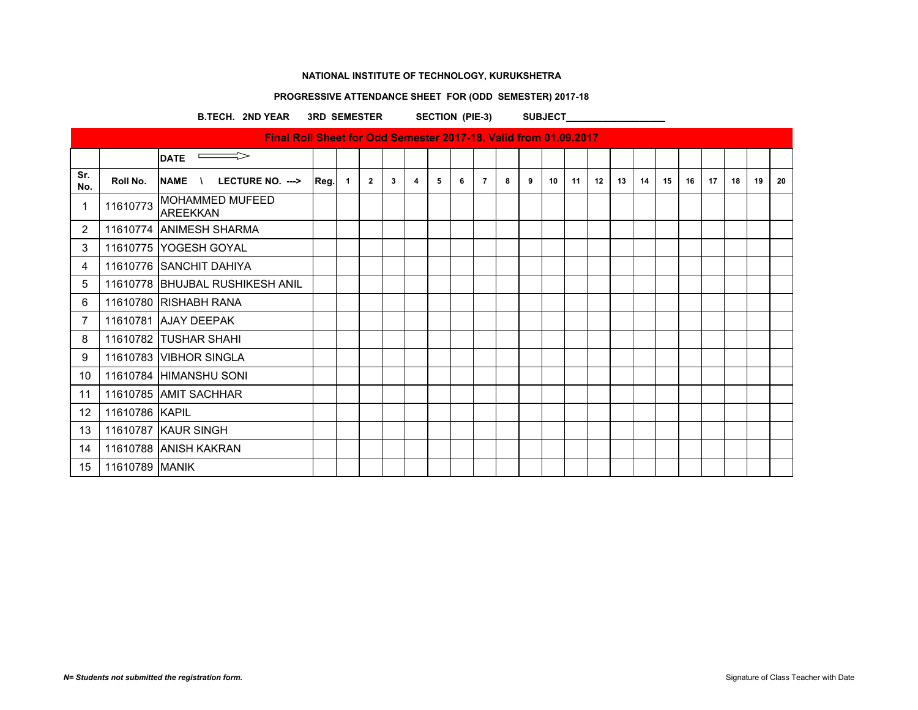# **PROGRESSIVE ATTENDANCE SHEET FOR (ODD SEMESTER) 2017-18**

B.TECH. 2ND YEAR 3RD SEMESTER SECTION (PIE-3) SUBJECT\_\_\_\_\_\_\_\_\_\_\_\_\_\_\_\_\_\_\_\_\_\_\_\_\_\_\_

|             |                | Final Roll Sheet for Odd Semester 2017-18, Valid from 01.09.2017 |      |              |              |   |   |   |   |                |   |   |    |    |    |    |    |    |    |    |    |    |    |
|-------------|----------------|------------------------------------------------------------------|------|--------------|--------------|---|---|---|---|----------------|---|---|----|----|----|----|----|----|----|----|----|----|----|
|             |                | $\Longrightarrow$<br><b>DATE</b>                                 |      |              |              |   |   |   |   |                |   |   |    |    |    |    |    |    |    |    |    |    |    |
| Sr.<br>No.  | Roll No.       | LECTURE NO. ---><br><b>NAME</b><br>$\sqrt{ }$                    | Reg. | $\mathbf{1}$ | $\mathbf{2}$ | 3 | 4 | 5 | 6 | $\overline{7}$ | 8 | 9 | 10 | 11 | 12 | 13 | 14 | 15 | 16 | 17 | 18 | 19 | 20 |
| $\mathbf 1$ | 11610773       | <b>MOHAMMED MUFEED</b><br>AREEKKAN                               |      |              |              |   |   |   |   |                |   |   |    |    |    |    |    |    |    |    |    |    |    |
| 2           |                | 11610774 ANIMESH SHARMA                                          |      |              |              |   |   |   |   |                |   |   |    |    |    |    |    |    |    |    |    |    |    |
| 3           |                | 11610775 YOGESH GOYAL                                            |      |              |              |   |   |   |   |                |   |   |    |    |    |    |    |    |    |    |    |    |    |
| 4           |                | 11610776 SANCHIT DAHIYA                                          |      |              |              |   |   |   |   |                |   |   |    |    |    |    |    |    |    |    |    |    |    |
| 5           |                | 11610778 BHUJBAL RUSHIKESH ANIL                                  |      |              |              |   |   |   |   |                |   |   |    |    |    |    |    |    |    |    |    |    |    |
| 6           |                | 11610780 RISHABH RANA                                            |      |              |              |   |   |   |   |                |   |   |    |    |    |    |    |    |    |    |    |    |    |
| 7           |                | 11610781 AJAY DEEPAK                                             |      |              |              |   |   |   |   |                |   |   |    |    |    |    |    |    |    |    |    |    |    |
| 8           |                | 11610782 TUSHAR SHAHI                                            |      |              |              |   |   |   |   |                |   |   |    |    |    |    |    |    |    |    |    |    |    |
| 9           |                | 11610783 VIBHOR SINGLA                                           |      |              |              |   |   |   |   |                |   |   |    |    |    |    |    |    |    |    |    |    |    |
| 10          |                | 11610784 HIMANSHU SONI                                           |      |              |              |   |   |   |   |                |   |   |    |    |    |    |    |    |    |    |    |    |    |
| 11          |                | 11610785 AMIT SACHHAR                                            |      |              |              |   |   |   |   |                |   |   |    |    |    |    |    |    |    |    |    |    |    |
| 12          | 11610786 KAPIL |                                                                  |      |              |              |   |   |   |   |                |   |   |    |    |    |    |    |    |    |    |    |    |    |
| 13          |                | 11610787 KAUR SINGH                                              |      |              |              |   |   |   |   |                |   |   |    |    |    |    |    |    |    |    |    |    |    |
| 14          |                | 11610788 ANISH KAKRAN                                            |      |              |              |   |   |   |   |                |   |   |    |    |    |    |    |    |    |    |    |    |    |
| 15          | 11610789 MANIK |                                                                  |      |              |              |   |   |   |   |                |   |   |    |    |    |    |    |    |    |    |    |    |    |